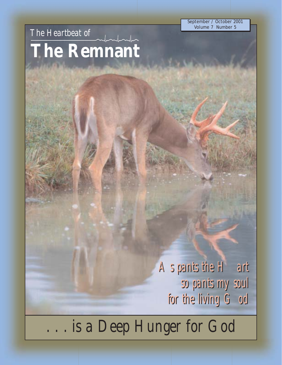September / October 2001 Volume 7 Number 5

# *The Heartbeat of* **The Remnant**

*As pants the Hart As pants the Hart so pants my soul for the living God so pants my soul for the living God*

*. . . is a Deep Hunger for God*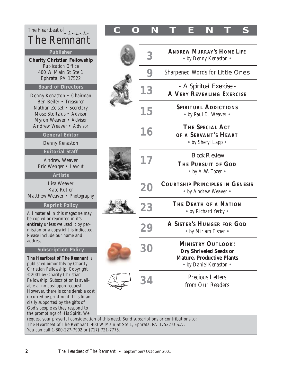| The Heartbeat of<br><b>The Remnant</b>                                                                                                                                                                                                                                                                                                                                                               |  |
|------------------------------------------------------------------------------------------------------------------------------------------------------------------------------------------------------------------------------------------------------------------------------------------------------------------------------------------------------------------------------------------------------|--|
| <b>Publisher</b>                                                                                                                                                                                                                                                                                                                                                                                     |  |
| <b>Charity Christian Fellowship</b><br><b>Publication Office</b><br>400 W Main St Ste 1<br>Ephrata, PA 17522                                                                                                                                                                                                                                                                                         |  |
| <b>Board of Directors</b>                                                                                                                                                                                                                                                                                                                                                                            |  |
| Denny Kenaston · Chairman<br>Ben Beiler • Treasurer<br>Nathan Zeiset · Secretary<br>Mose Stoltzfus · Advisor<br>Myron Weaver • Advisor<br>Andrew Weaver · Advisor                                                                                                                                                                                                                                    |  |
| <b>General Editor</b>                                                                                                                                                                                                                                                                                                                                                                                |  |
| Denny Kenaston                                                                                                                                                                                                                                                                                                                                                                                       |  |
| <b>Editorial Staff</b>                                                                                                                                                                                                                                                                                                                                                                               |  |
| <b>Andrew Weaver</b><br>Eric Wenger • Layout                                                                                                                                                                                                                                                                                                                                                         |  |
| <b>Artists</b>                                                                                                                                                                                                                                                                                                                                                                                       |  |
| <b>Lisa Weaver</b><br><b>Kate Rutler</b><br>Matthew Weaver • Photography                                                                                                                                                                                                                                                                                                                             |  |
| <b>Reprint Policy</b>                                                                                                                                                                                                                                                                                                                                                                                |  |
| All material in this magazine may<br>be copied or reprinted in it's<br>entirety unless we used it by per-<br>mission or a copyright is indicated.<br>Please include our name and<br>address.                                                                                                                                                                                                         |  |
| <b>Subscription Policy</b>                                                                                                                                                                                                                                                                                                                                                                           |  |
| The Heartbeat of The Remnant is<br>published bimonthly by Charity<br>Christian Fellowship. Copyright<br>©2001 by Charity Christian<br>Fellowship. Subscription is avail-<br>able at no cost upon request.<br>However, there is considerable cost<br>incurred by printing it. It is finan-<br>cially supported by the gifts of<br>God's people as they respond to<br>the promptings of His Spirit. We |  |

# $\begin{array}{|c|c|c|c|c|c|}\n\hline\n\text{The Heartbeat of} & \text{where} & \text{C} & \text{O} & \text{N} & \text{T} & \text{E} & \text{N} & \text{T} & \text{S}\n\end{array}$

| 3              | <b>ANDREW MURRAY'S HOME LIFE</b><br>• by Denny Kenaston •                                                               |
|----------------|-------------------------------------------------------------------------------------------------------------------------|
| 9              | <b>Sharpened Words for Little Ones</b>                                                                                  |
| 13             | - A Spiritual Exercise -<br><b>A VERY REVEALING EXERCISE</b>                                                            |
| 15             | <b>SPIRITUAL ADDICTIONS</b><br>• by Paul D. Weaver •                                                                    |
| 16             | <b>THE SPECIAL ACT</b><br>OF A SERVANT'S HEART<br>• by Sheryl Lapp •                                                    |
| 17             | <b>Book Review</b><br>THE PURSUIT OF GOD<br>• by A.W. Tozer $\bullet$                                                   |
| 20             | <b>COURTSHIP PRINCIPLES IN GENESIS</b><br>• by Andrew Weaver •                                                          |
| 23             | THE DEATH OF A NATION<br>• by Richard Yerby •                                                                           |
| 29             | <b>A SISTER'S HUNGER FOR GOD</b><br>• by Miriam Fisher •                                                                |
|                |                                                                                                                         |
| 3 <sub>l</sub> | <b>MINISTRY OUTLOOK:</b><br><b>Dry Shriveled Seeds or</b><br><b>Mature, Productive Plants</b><br>• by Daniel Kenaston • |
| 34             | <b>Precious Letters</b><br>from Our Readers                                                                             |

request your prayerful consideration of this need. Send subscriptions or contributions to: The Heartbeat of The Remnant, 400 W Main St Ste 1, Ephrata, PA 17522 U.S.A. You can call 1-800-227-7902 or (717) 721-7775.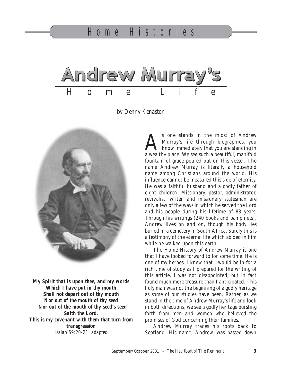

*by Denny Kenaston*



*My Spirit that is upon thee, and my words Which I have put in thy mouth Shall not depart out of thy mouth Nor out of the mouth of thy seed Nor out of the mouth of thy seed's seed Saith the Lord. This is my covenant with them that turn from transgression Isaiah 59:20-21, adapted*

Sone stands in the midst of Andrew<br>Murray's life through biographies, you<br>know immediately that you are standing in Murray's life through biographies, you a wealthy place. We see such a beautiful, manifold fountain of grace poured out on this vessel. The name Andrew Murray is literally a household name among Christians around the world. His influence cannot be measured this side of eternity. He was a faithful husband and a godly father of eight children. Missionary, pastor, administrator, revivalist, writer, and missionary statesman are only a few of the ways in which he served the Lord and his people during his lifetime of 88 years. Through his writings (240 books and pamphlets), Andrew lives on and on, though his body lies buried in a cemetery in South Africa. Surely this is a testimony of the eternal life which abided in him while he walked upon this earth.

The Home History of Andrew Murray is one that I have looked forward to for some time. He is one of my heroes. I knew that I would be in for a rich time of study as I prepared for the writing of this article. I was not disappointed, but in fact found much more treasure than I anticipated. This holy man was not the beginning of a godly heritage as some of our studies have been. Rather, as we stand in the time of Andrew Murray's life and look in both directions, we see a godly heritage bursting forth from men and women who believed the promises of God concerning their families.

Andrew Murray traces his roots back to Scotland. His name, Andrew, was passed down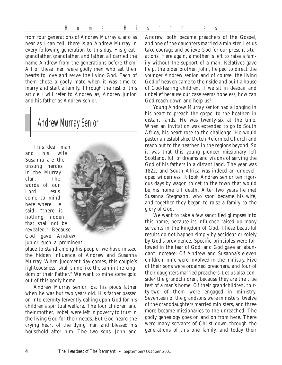from four generations of Andrew Murray's, and as near as I can tell, there is an Andrew Murray in every following generation to this day. His greatgrandfather, grandfather, and father, all carried the name Andrew from the generations before them. All of these men were godly men who set their hearts to love and serve the living God. Each of them chose a godly mate when it was time to marry and start a family. Through the rest of this article I will refer to Andrew as, Andrew junior, and his father as Andrew senior.

# Andrew Murray Senior

This dear man and his wife Susanna are the unsung heroes in the Murray clan. The words of our Lord Jesus come to mind here where He said, "there is nothing hidden that shall not be revealed." Because God gave Andrew junior such a prominent



place to stand among his people, we have missed the hidden influence of Andrew and Susanna Murray. When judgment day comes, this couple's righteousness "shall shine like the sun in the kingdom of their Father." We want to mine some gold out of this godly home.

Andrew Murray senior lost his pious father when he was but two years old. His father passed on into eternity fervently calling upon God for his children's spiritual welfare. The four children and their mother, Isobel, were left in poverty to trust in the living God for their needs. But God heard the crying heart of the dying man and blessed his household after him. The two sons, John and

Andrew, both became preachers of the Gospel, and one of the daughters married a minister. Let us take courage and believe God for our present situations. Here again, a mother is left to raise a family without the support of a man. Relatives gave help, the older brother, John, helped to direct the younger Andrew senior, and of course, the living God of heaven came to their side and built a house of God-fearing children. If we sit in despair and unbelief because our case seems hopeless, how can God reach down and help us?

Young Andrew Murray senior had a longing in his heart to preach the gospel to the heathen in distant lands. He was twenty-six at the time. When an invitation was extended to go to South Africa, his heart rose to the challenge. He would pastor an established Dutch Reformed Church and reach out to the heathen in the regions beyond. So it was that this young pioneer missionary left Scotland, full of dreams and visions of serving the God of his fathers in a distant land. The year was 1822, and South Africa was indeed an undeveloped wilderness. It took Andrew senior ten rigorous days by wagon to get to the town that would be his home till death. After two years he met Susanna Stegmann, who soon became his wife, and together they began to raise a family to the glory of God.

We want to take a few sanctified glimpses into this home, because its influence raised up many servants in the kingdom of God. These beautiful results do not happen simply by accident or solely by God's providence. Specific principles were followed in the fear of God, and God gave an abundant increase. Of Andrew and Susanna's eleven children, nine were involved in the ministry. Five of their sons were ordained preachers, and four of their daughters married preachers. Let us also consider the grandchildren, because they are the true test of a man's home. Of their grandchildren, thirty-two of them were engaged in ministry. Seventeen of the grandsons were ministers, twelve of the granddaughters married ministers, and three more became missionaries to the unreached. The godly genealogy goes on and on from here. There were many servants of Christ down through the generations of this one family, and today their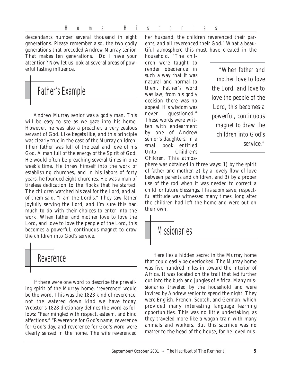descendants number several thousand in eight generations. Please remember also, the two godly generations that preceded Andrew Murray senior. That makes ten generations. Do I have your attention? Now let us look at several areas of powerful lasting influence.

# Father's Example

Andrew Murray senior was a godly man. This will be easy to see as we gaze into his home. However, he was also a preacher, a very zealous servant of God. Like begets like, and this principle was clearly true in the case of the Murray children. Their father was full of the zeal and love of his God. A man full of the energy of the Spirit of God. He would often be preaching several times in one week's time. He threw himself into the work of establishing churches, and in his labors of forty years, he founded eight churches. He was a man of tireless dedication to the flocks that he started. The children watched his zeal for the Lord, and all of them said, "I am the Lord's." They saw father joyfully serving the Lord, and I'm sure this had much to do with their choices to enter into the work. When father and mother love to love the Lord, and love to love the people of the Lord, this becomes a powerful, continuous magnet to draw the children into God's service.

# **Reverence**

If there were one word to describe the prevailing spirit of the Murray home, 'reverence' would be the word. This was the 1828 kind of reverence, not the watered down kind we have today. Webster's 1828 dictionary defines the word as follows: "Fear mingled with respect, esteem, and kind affections." "Reverence for God's name, reverence for God's day, and reverence for God's word were clearly sensed in the home. The wife reverenced her husband, the children reverenced their parents, and all reverenced their God." What a beautiful atmosphere this must have created in the household. "The chil-

dren were taught to render obedience in such a way that it was natural and normal to them. Father's word was law; from his godly decision there was no appeal. His wisdom was never questioned." These words were written with endearment by one of Andrew senior's daughters, in a small book entitled *Unto Children's Children.* This atmos-

*"When father and mother love to love the Lord, and love to love the people of the Lord, this becomes a powerful, continuous magnet to draw the children into God's service."*

phere was obtained in three ways: 1) by the spirit of father and mother, 2) by a lovely flow of love between parents and children, and 3) by a proper use of the rod when it was needed to correct a child for future blessings. This submissive, respectful attitude was witnessed many times, long after the children had left the home and were out on their own.

## **Mssionaries**

Here lies a hidden secret in the Murray home that could easily be overlooked. The Murray home was five hundred miles in toward the interior of Africa. It was located on the trail that led further out into the bush and jungles of Africa. Many missionaries traveled by the household and were invited by Andrew senior to spend the night. They were English, French, Scotch, and German, which provided many interesting language learning opportunities. This was no little undertaking, as they traveled more like a wagon train with many animals and workers. But this sacrifice was no matter to the head of the house, for he loved mis-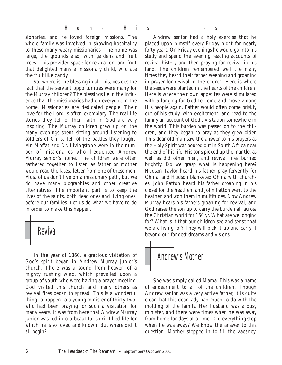sionaries, and he loved foreign missions. The whole family was involved in showing hospitality to these many weary missionaries. The home was large, the grounds also, with gardens and fruit trees. This provided space for relaxation, and fruit that delighted many a missionary child, who ate the fruit like candy.

So, where is the blessing in all this, besides the fact that the servant opportunities were many for the Murray children? The blessings lie in the influence that the missionaries had on everyone in the home. Missionaries are dedicated people. Their love for the Lord is often exemplary. The real life stories they tell of their faith in God are very inspiring. The Murray children grew up on the many evenings spent sitting around listening to soldiers of Christ tell of the battles they fought. Mr. Moffat and Dr. Livingstone were in the number of missionaries who frequented Andrew Murray senior's home. The children were often gathered together to listen as father or mother would read the latest letter from one of these men. Most of us don't live on a missionary path, but we do have many biographies and other creative alternatives. The important part is to keep the lives of the saints, both dead ones and living ones, before our families. Let us do what we have to do in order to make this happen.



In the year of 1860, a gracious visitation of God's spirit began in Andrew Murray junior's church. There was a sound from heaven of a mighty rushing wind, which prevailed upon a group of youth who were having a prayer meeting. God visited this church and many others as revival fires began to spread. This is a wonderful thing to happen to a young minister of thirty-two, who had been praying for such a visitation for many years. It was from here that Andrew Murray junior was led into a beautiful spirit-filled life for which he is so loved and known. But where did it all begin?

Andrew senior had a holy exercise that he placed upon himself every Friday night for nearly forty years. On Friday evenings he would go into his study and spend the evening reading accounts of revival history and then praying for revival in his land. The children remembered well the many times they heard their father weeping and groaning in prayer for revival in the church. Here is where the seeds were planted in the hearts of the children. Here is where their own appetites were stimulated with a longing for God to come and move among His people again. Father would often come briskly out of his study, with excitement, and read to the family an account of God's visitation somewhere in the world. This burden was passed on to the children, and they began to pray as they grew older. This dear old man saw the answer to his prayers as the Holy Spirit was poured out in South Africa near the end of his life. His sons picked up the mantle, as well as did other men, and revival fires burned brightly. Do we grasp what is happening here? Hudson Taylor heard his father pray fervently for China, and Hudson blanketed China with churches. John Patton heard his father groaning in his closet for the heathen, and John Patton went to the heathen and won them in multitudes. Now Andrew Murray hears his fathers groaning for revival, and God raises the son up to carry the burden all across the Christian world for 150 yr. What are we longing for? What is it that our children see and sense that we are living for? They will pick it up and carry it beyond our fondest dreams and visions.

# Andrew's Mother

She was simply called Mama. This was a name of endearment to all of the children. Though Andrew senior was a very active father, it is quite clear that this dear lady had much to do with the molding of the family. Her husband was a busy minister, and there were times when he was away from home for days at a time. Did everything stop when he was away? We know the answer to this question. Mother stepped in to fill the vacancy.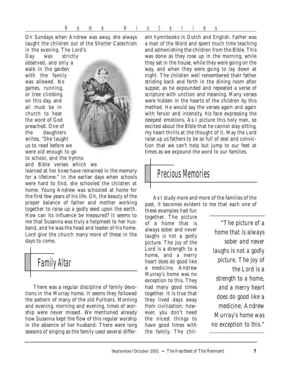On Sundays when Andrew was away, she always taught the children out of the Shorter Catechism in the evening. The Lord's

Day was strictly observed, and only a walk in the garden with the family was allowed. No games, running, or tree climbing on this day, and all must be in church to hear the word of God preached. One of the daughters writes, "She taught us to read before we were old enough to go to school, and the hymns and Bible verses which we



learned at her knee have remained in the memory for a lifetime." In the earlier days when schools were hard to find, she schooled the children at home. Young Andrew was schooled at home for the first few years of his life. Oh, the beauty of the proper balance of father and mother working together to raise up a godly seed upon the earth. How can its influence be measured? It seems to me that Susanna was truly a helpmeet to her husband, and he was the head and leader of his home. Lord give the church many more of these in the days to come.



There was a regular discipline of family devotions in the Murray home. It seems they followed the pattern of many of the old Puritans. Morning and evening, morning and evening, times of worship were never missed. We mentioned already how Susanna kept the flow of this regular worship in the absence of her husband. There were long seasons of singing as the family used several different hymnbooks in Dutch and English. Father was a man of the Word and spent much time teaching and admonishing the children from the Bible. This was done as they rose up in the morning, while they sat in the house, while they were going on the way, and when they were going to lay down at night. The children well remembered their father striding back and forth in the dining room after supper, as he expounded and repeated a verse of scripture with unction and meaning. Many verses were hidden in the hearts of the children by this method. He would say the verses again and again with fervor and intensity, his face expressing the deepest emotions. As I picture this holy man, so excited about the Bible that he cannot stay sitting, my heart thrills at the thought of it. May the Lord raise up us fathers to be so full of zeal and conviction that we can't help but jump to our feet at times as we expound the word to our families.

## Precious Memories

As I study more and more of the families of the past, it becomes evident to me that each one of

these examples had fun together. The picture of a home that is always sober and never laughs is not a godly picture. The joy of the Lord is a strength to a home, and a merry heart does do good like a medicine. Andrew Murray's home was no exception to this. They had many good times together. It is true that they lived days away from civilization; however, you don't need the nicest things to have good times with the family. The chil-

*"The picture of a home that is always sober and never laughs is not a godly picture. The joy of the Lord is a strength to a home, and a merry heart does do good like a medicine. Andrew Murray's home was no exception to this."*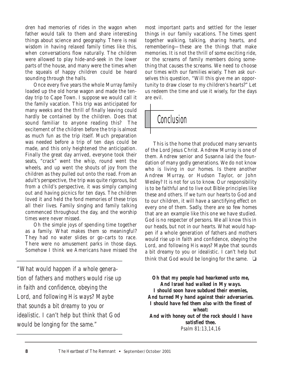dren had memories of rides in the wagon when father would talk to them and share interesting things about science and geography. There is real wisdom in having relaxed family times like this, when conversations flow naturally. The children were allowed to play hide-and-seek in the lower parts of the house, and many were the times when the squeals of happy children could be heard sounding through the halls.

Once every five years the whole Murray family loaded up the old horse wagon and made the tenday trip to Cape Town. I suppose we would call it the family vacation. This trip was anticipated for many weeks and the thrill of finally leaving could hardly be contained by the children. Does that sound familiar to anyone reading this? The excitement of the children before the trip is almost as much fun as the trip itself. Much preparation was needed before a trip of ten days could be made, and this only heightened the anticipation. Finally the great day arrived, everyone took their seats, "crack" went the whip, round went the wheels, and up went the shouts of joy from the children as they pulled out onto the road. From an adult's perspective, the trip was quite rigorous, but from a child's perspective, it was simply camping out and having picnics for ten days. The children loved it and held the fond memories of these trips all their lives. Family singing and family talking commenced throughout the day, and the worship times were never missed.

Oh the simple joys of spending time together as a family. What makes them so meaningful? They had no water slides or go-carts to race. There were no amusement parks in those days. Somehow I think we Americans have missed the

*"What would happen if a whole generation of fathers and mothers would rise up in faith and confidence, obeying the Lord, and following His ways? Maybe that sounds a bit dreamy to you or idealistic. I can't help but think that God would be longing for the same."*

most important parts and settled for the lesser things in our family vacations. The times spent together walking, talking, sharing hearts, and remembering—these are the things that make memories. It is not the thrill of some exciting ride, or the screams of family members doing something that causes the screams. We need to choose our times with our families wisely. Then ask ourselves this question, "Will this give me an opportunity to draw closer to my children's hearts?" Let us redeem the time and use it wisely, for the days are evil.

# **Conclusion**

This is the home that produced many servants of the Lord Jesus Christ. Andrew Murray is one of them. Andrew senior and Susanna laid the foundation of many godly generations. We do not know who is living in our homes. Is there another Andrew Murray, or Hudson Taylor, or John Wesley? It is not for us to know. Our responsibility is to be faithful and to live out Bible principles like these and others. If we turn our hearts to God and to our children, it will have a sanctifying effect on every one of them. Sadly, there are so few homes that are an example like this one we have studied. God is no respecter of persons. We all know this in our heads, but not in our hearts. What would happen if a whole generation of fathers and mothers would rise up in faith and confidence, obeying the Lord, and following His ways? Maybe that sounds a bit dreamy to you or idealistic. I can't help but think that God would be longing for the same.  $\Box$ 

*Oh that my people had hearkened unto me, And Israel had walked in My ways. I should soon have subdued their enemies, And turned My hand against their adversaries. I should have fed them also with the finest of wheat: And with honey out of the rock should I have satisfied thee. Psalm 81:13,14,16*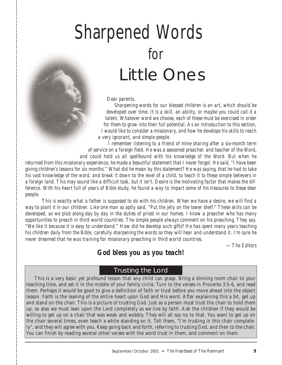# Sharpened Words for Little Ones

*Dear parents,*

*Sharpening words for our blessed children is an art, which should be developed over time. It is a skill, an ability, or maybe you could call it a talent. Whatever word we choose, each of these must be exercised in order for them to grow into their full potential. As an introduction to this section, I would like to consider a missionary, and how he develops his skills to reach a very ignorant, and simple people.*

*I remember listening to a friend of mine sharing after a six-month term of service on a foreign field. He was a seasoned preacher, and teacher of the Word, and could hold us all spellbound with his knowledge of the Word. But when he*

*returned from this missionary experience, he made a beautiful statement that I never forgot. He said, "I have been giving children's lessons for six months." What did he mean by this statement? He was saying, that he had to take his vast knowledge of the word, and break it down to the level of a child, to teach it to these simple believers in a foreign land. This may sound like a difficult task, but it isn't. Desire is the motivating factor that makes the difference. With his heart full of years of Bible study, he found a way to impart some of his treasures to these dear people.*

*This is exactly what a father is supposed to do with his children. When we have a desire, we will find a way to plant it in our children. Like one man so aptly said, "Put the jelly on the lower shelf." These skills can be developed, as we plod along day by day in the duties of priest in our homes. I know a preacher who has many opportunities to preach in third world countries. The simple people always comment on his preaching. They say. "We like it because it is easy to understand." How did he develop such gifts? He has spent many years teaching his children daily from the Bible, carefully sharpening the words so they will hear and understand it. I'm sure he never dreamed that he was training for missionary preaching in third world countries.*

*—The Editors*

### *God bless you as you teach!*

#### Trusting the Lord

This is a very basic yet profound lesson that any child can grasp. Bring a dinning room chair to your teaching time, and set it in the middle of your family circle. Turn to the verses in Proverbs 3:5-6, and read them. Perhaps it would be good to give a definition of faith or trust before you move ahead into the object lesson. Faith is the leaning of the entire heart upon God and His word. After explaining this a bit, get up and stand on the chair. This is a picture of trusting God. Just as a person must trust the chair to hold them up, so also we must lean upon the Lord completely as we live by faith. Ask the children if they would be willing to get up on a chair that was weak and wobbly. They will all say no to that. You want to get up on the chair several times, even teach a while standing on it. Tell them, "I'm trusting in this chair completely", and they will agree with you. Keep going back and forth, referring to trusting God, and then to the chair. You can finish by reading several other verses with the word trust in them, and comment on them.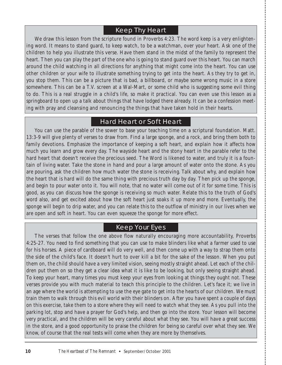### Keep Thy Heart

We draw this lesson from the scripture found in Proverbs 4:23. The word keep is a very enlightening word. It means to stand guard, to keep watch, to be a watchman, over your heart. Ask one of the children to help you illustrate this verse. Have them stand in the midst of the family to represent the heart. Then you can play the part of the one who is going to stand guard over this heart. You can march around the child watching in all directions for anything that might come into the heart. You can use other children or your wife to illustrate something trying to get into the heart. As they try to get in, you stop them. This can be a picture that is bad, a billboard, or maybe some wrong music in a store somewhere. This can be a T.V. screen at a Wal-Mart, or some child who is suggesting some evil thing to do. This is a real struggle in a child's life, so make it practical. You can even use this lesson as a springboard to open up a talk about things that have lodged there already. It can be a confession meeting with pray and cleansing and renouncing the things that have taken hold in their hearts.

#### Hard Heart or Soft Heart

You can use the parable of the sower to base your teaching time on a scriptural foundation. Matt. 13:3-9 will give plenty of verses to draw from. Find a large sponge, and a rock, and bring them both to family devotions. Emphasize the importance of keeping a soft heart, and explain how it affects how much you learn and grow every day. The wayside heart and the stony heart in the parable refer to the hard heart that doesn't receive the precious seed. The Word is likened to water, and truly it is a fountain of living water. Take the stone in hand and pour a large amount of water onto the stone. As you are pouring, ask the children how much water the stone is receiving. Talk about why, and explain how the heart that is hard will do the same thing with precious truth day by day. Then pick up the sponge, and begin to pour water onto it. You will note, that no water will come out of it for some time. This is good, as you can discuss how the sponge is receiving so much water. Relate this to the truth of God's word also, and get excited about how the soft heart just soaks it up more and more. Eventually, the sponge will begin to drip water, and you can relate this to the outflow of ministry in our lives when we are open and soft in heart. You can even squeeze the sponge for more effect.

### Keep Your Eyes

The verses that follow the one above flow naturally encouraging more accountability, Proverbs 4:25-27. You need to find something that you can use to make blinders like what a farmer used to use for his horses. A piece of cardboard will do very well, and then come up with a way to strap them onto the side of the child's face. It doesn't hurt to over kill a bit for the sake of the lesson. When you put them on, the child should have a very limited vision, seeing mostly straight ahead. Let each of the children put them on so they get a clear idea what it is like to be looking, but only seeing straight ahead. To keep your heart, many times you must keep your eyes from looking at things they ought not. These verses provide you with much material to teach this principle to the children. Let's face it; we live in an age where the world is attempting to use the eye gate to get into the hearts of our children. We must train them to walk through this evil world with their blinders on. After you have spent a couple of days on this exercise, take them to a store where they will need to watch what they see. As you pull into the parking lot, stop and have a prayer for God's help, and then go into the store. Your lesson will become very practical, and the children will be very careful about what they see. You will have a great success in the store, and a good opportunity to praise the children for being so careful over what they see. We know, of course that the real tests will come when they are more by themselves.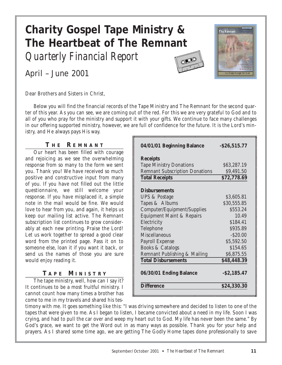# **Charity Gospel Tape Ministry & The Heartbeat of The Remnant**

*Quarterly Financial Report*

April – June 2001





Dear Brothers and Sisters in Christ,

Below you will find the financial records of the Tape Ministry and The Remnant for the second quarter of this year. As you can see, we are coming out of the red. For this we are very grateful to God and to all of you who pray for the ministry and support it with your gifts. We continue to face many challenges in our offering supported ministry, however, we are full of confidence for the future. It is the Lord's ministry, and He always pays His way.

#### **T H E R EMNANT**

Our heart has been filled with courage and rejoicing as we see the overwhelming response from so many to the form we sent you. Thank you! We have received so much positive and constructive input from many of you. If you have not filled out the little questionnaire, we still welcome your response. If you have misplaced it, a simple note in the mail would be fine. We would love to hear from you, and again, it helps us keep our mailing list active. The Remnant subscription list continues to grow considerably at each new printing. Praise the Lord! Let us work together to spread a good clear word from the printed page. Pass it on to someone else, loan it if you want it back, or send us the names of those you are sure would enjoy reading it.

#### **T APE M INISTRY**

The tape ministry, well, how can I say it? It continues to be a most fruitful ministry. I cannot count how many times a brother has come to me in my travels and shared his tes-

| 04/01/01 Beginning Balance            | $-$ \$26,515.77 |
|---------------------------------------|-----------------|
| <b>Receipts</b>                       |                 |
| <b>Tape Ministry Donations</b>        | \$63,287.19     |
| <b>Remnant Subscription Donations</b> | \$9,491.50      |
| <b>Total Receipts</b>                 | \$72,778.69     |
| <b>Disbursements</b>                  |                 |
| <b>UPS &amp; Postage</b>              | \$3,605.81      |
| Tapes & Albums                        | \$30,555.85     |
| <b>Computer/Equipment/Supplies</b>    | \$553.24        |
| <b>Equipment Maint &amp; Repairs</b>  | 10.49           |
| Electricity                           | \$184.41        |
| Telephone                             | \$935.89        |
| <b>Miscellaneous</b>                  | $-$ \$20.00     |
| <b>Payroll Expense</b>                | \$5,592.50      |
| <b>Books &amp; Catalogs</b>           | \$154.65        |
| Remnant Publishing & Mailing          | \$6,875.55      |
| <b>Total Disbursements</b>            | \$48,448.39     |
| 06/30/01 Ending Balance               | $-$ \$2,185.47  |
| <b>Difference</b>                     | \$24,330.30     |

timony with me. It goes something like this: "I was driving somewhere and decided to listen to one of the tapes that were given to me. As I began to listen, I became convicted about a need in my life. Soon I was crying, and had to pull the car over and weep my heart out to God. My life has never been the same." By God's grace, we want to get the Word out in as many ways as possible. Thank you for your help and prayers. As I shared some time ago, we are getting The Godly Home tapes done professionally to save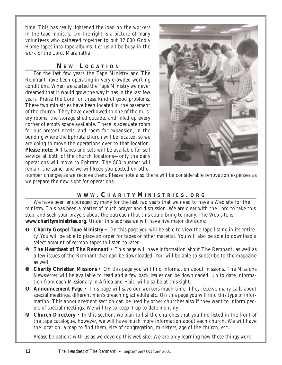time. This has really lightened the load on the workers in the tape ministry. On the right is a picture of many volunteers who gathered together to put 12,000 Godly Home tapes into tape albums. Let us all be busy in the work of the Lord. Maranatha!

#### **N E W L OCATION**

For the last few years the Tape Ministry and The Remnant have been operating in very crowded working conditions. When we started the Tape Ministry we never dreamed that it would grow the way it has in the last few years. Praise the Lord for these kind of good problems. These two ministries have been located in the basement of the church. They have overflowed to one of the nursery rooms, the storage shed outside, and filled up every corner of empty space available. There is adequate room for our present needs, and room for expansion, in the building where the Ephrata church will be located, so we are going to move the operations over to that location. **Please note:** All tapes and sets will be available for self service at both of the church locations—only the daily operations will move to Ephrata. The 800 number will remain the same, and we will keep you posted on other



number changes as we receive them. Please note also there will be considerable renovation expenses as we prepare the new sight for operations.

#### **WWW . C HARITY M INISTRIES . ORG**

We have been encouraged by many for the last two years that we need to have a Web site for the ministry. This has been a matter of much prayer and discussion. We are clear with the Lord to take this step, and seek your prayers about the outreach that this could bring to many. The Web site is **www.charityministries.org**. Under this address we will have five major divisions:

- ❶ **Charity Gospel Tape Ministry** On this page you will be able to view the tape listing in its entirety. You will be able to place an order for tapes or other material. You will also be able to download a select amount of sermon tapes to listen to later.
- ❷ **The Heartbeat of The Remnant** This page will have information about The Remnant, as well as a few issues of the Remnant that can be downloaded. You will be able to subscribe to the magazine as well.
- ❸ **Charity Christian Missions** On this page you will find information about missions. The Missions Newsletter will be available to read and a few back issues can be downloaded. Up to date information from each Missionary in Africa and Haiti will also be at this sight.
- ❹ **Announcement Page** This page will save our workers much time. They receive many calls about special meetings, different men's preaching schedule etc. On this page you will find this type of information. This announcement section can be used by other churches also if they want to inform people of special meetings. We will try to keep it up to date monthly.
- ❺ **Church Directory** In this section, we plan to list the churches that you find listed in the front of the tape catalogue, however, we will have much more information about each church. We will have the location, a map to find them, size of congregation, ministers, age of the church, etc.

Please be patient with us as we develop this web site. We are only learning how these things work.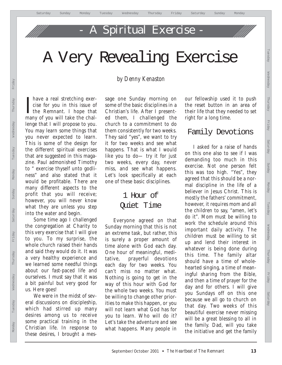# Spiritual Exercise

# A Very Revealing Exercise

Thave a real stretching exercise for you in this issue of<br>the Remnant. I hope that have a real stretching exercise for you in this issue of many of you will take the challenge that I will propose to you. You may learn some things that you never expected to learn. This is some of the design for the different spiritual exercises that are suggested in this magazine. Paul admonished Timothy to " exercise thyself unto godliness" and also stated that it would be profitable. There are many different aspects to the profit that you will receive; however, you will never know what they are unless you step into the water and begin.

Some time ago I challenged the congregation at Charity to this very exercise that I will give to you. To my surprise, the whole church raised their hands and said they would do it. It was a very healthy experience and we learned some needful things about our fast-paced life and ourselves. I must say that it was a bit painful but very good for us. Here goes!

We were in the midst of several discussions on discipleship, which had stirred up many desires among us to receive some practical training in the Christian life. In response to these desires, I brought a mes-

### *by Denny Kenaston*

sage one Sunday morning on some of the basic disciplines in a Christian's life. After I presented them, I challenged the church to a commitment to do them consistently for two weeks. They said "yes", we want to try it for two weeks and see what happens. That is what I would like you to do— try it for just two weeks, every day, never miss, and see what happens. Let's look specifically at each one of these basic disciplines.

## 1 Hour of Quiet Time

Everyone agreed on that Sunday morning that this is not an extreme task, but rather, this is surely a proper amount of time alone with God each day. One hour of meaningful, meditative, prayerful devotions each day for two weeks. You can't miss no matter what. Nothing is going to get in the way of this hour with God for the whole two weeks. You must be willing to change other priorities to make this happen, or you will not learn what God has for you to learn. Who will do it? Let's take the adventure and see what happens. Many people in

our fellowship used it to push the reset button in an area of their life that they needed to set right for a long time.

### Family Devotions

I asked for a raise of hands on this one also to see if I was demanding too much in this exercise. Not one person felt this was too high. "Yes", they agreed that this should be a normal discipline in the life of a believer in Jesus Christ. This is mostly the fathers' commitment, however, it requires mom and all the children to say, "amen, let's do it". Mom must be willing to work the schedule around this important daily activity. The children must be willing to sit up and lend their interest in whatever is being done during this time. The family altar should have a time of wholehearted singing, a time of meaningful sharing from the Bible, and then a time of prayer for the day and for others. I will give you Sundays off on this one because we all go to church on that day. Two weeks of this beautiful exercise never missing will be a great blessing to all in the family. Dad, will you take the initiative and get the family

Tuesday Wednesday Thursday Friday Saturday Sunday Monday Tuesday Wednesday Thursday Friday Saturday

Monday

Tuesday

Wednesday

**Zhurzsday** 

Friday

Saturday

Sunday

Tuesday

Wednesday

Yeberunt

Friday

Saturday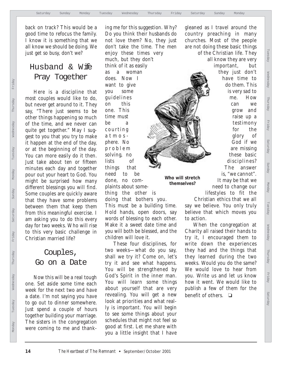back on track? This would be a good time to refocus the family. I know it is something that we all know we should be doing. We just get so busy, don't we?

### Husband & Wife Pray Together

Here is a discipline that most couples would like to do, but never get around to it. They say, "There just seems to be other things happening so much of the time, and we never can quite get together." May I suggest to you that you try to make it happen at the end of the day, or at the beginning of the day. You can more easily do it then. Just take about ten or fifteen minutes each day and together pour out your heart to God. You might be surprised how many different blessings you will find. Some couples are quickly aware that they have some problems between them that keep them from this meaningful exercise. I am asking you to do this every day for two weeks. Who will rise to this very basic challenge in Christian married life?

### Couples, Go on a Date

Now this will be a real tough one. Set aside some time each week for the next two and have a date. I'm not saying you have to go out to dinner somewhere. Just spend a couple of hours together building your marriage. The sisters in the congregation were coming to me and thanking me for this suggestion. Why? Do you think their husbands do not love them? No, they just don't take the time. The men enjoy these times very much, but they don't think of it as easily as a woman does. Now I want to give you some guidelines on this one. This time must be a courting atmosphere. No problem solving, no lists of things that need to be done, no complaints about some-

thing the other is **Who will stretch themselves?**

doing that bothers you. This must be a building time. Hold hands, open doors, say words of blessing to each other. Make it a sweet date time and you will both be blessed, and the children will love it.

These four disciplines, for two weeks—what do you say, shall we try it? Come on, let's try it and see what happens. You will be strengthened by God's Spirit in the inner man. You will learn some things about yourself that are very revealing. You will get a new look at priorities and what really is important. You will begin to see some things about your schedules that might not feel so good at first. Let me share with you a little insight that I have

gleaned as I travel around the country preaching in many churches. Most of the people are not doing these basic things of the Christian life. They all know they are very

important, but they just don't have time to do them. This is very sad to me. How can we grow and raise up a testimony for the glory of God if we are missing these basic disciplines? The answer is, "we cannot". It may be that we need to change our Tuesday Wednesday Thursday Friday Saturday Sunday Monday Tuesday Wednesday Thursday Friday Saturday

Monday

Tuesday

Wednesday

Yeberuth

Friday

Saturday

Sunday

Tuesday

Webearesday

Yepsany

Friday

Saturday

lifestyles to fit the

Christian ethics that we all say we believe. You only truly believe that which moves you to action.

When the congregation at Charity all raised their hands to try it, I encouraged them to write down the experiences they had and the things that they learned during the two weeks. Would you do the same? We would love to hear from you. Write us and let us know how it went. We would like to publish a few of them for the benefit of others. ❏

Monday

Monday Tuesday Wednesday Thursday Friday Saturday Sunday Monday Tuesday Wednesday Thursday Friday

Friday

Thursday

Wednesday

Tuesday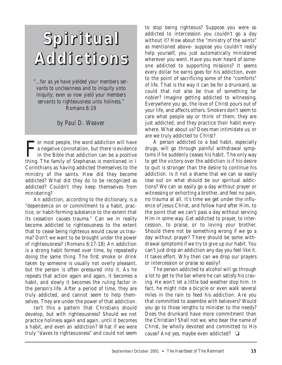# **Spiritual Addictions**

*"...for as ye have yielded your members servants to uncleanness and to iniquity unto iniquity; even so now yield your members servants to righteousness unto holiness."* Romans 6:19

#### *by Paul D. Weaver*

F or most people, the word addiction will have a negative connotation, but there is evidence in the Bible that addiction can be a positive thing. The family of Stephanas is mentioned in I Corinthians as having addicted themselves to the ministry of the saints. How did they become addicted? What did they do to be recognized as addicted? Couldn't they keep themselves from ministering?

An addiction, according to the dictionary, is a "dependence on or commitment to a habit, practice, or habit-forming substance to the extent that its cessation causes trauma." Can we in reality become addicted to righteousness to the extent that to cease being righteous would cause us trauma? Don't we want to be brought under the power of righteousness? (Romans 6:17-18) An addiction is a strong habit formed over time, by repeatedly doing the same thing. The first smoke or drink taken by someone is usually not overly pleasant, but the person is often pressured into it. As he repeats that action again and again, it becomes a habit, and slowly it becomes the ruling factor in the person's life. After a period of time, they are truly addicted, and cannot seem to help themselves. They are under the power of that addiction.

Isn't this a pattern that Christians should develop, but with righteousness? Should we not practice holiness again and again, until it becomes a habit, and even an addiction? What if we were truly "slaves to righteousness" and could not seem to stop being righteous? Suppose you were so addicted to intercession you couldn't go a day without it? How about the "ministry of the saints" as mentioned above- suppose you couldn't really help yourself, you just automatically ministered wherever you went. Have you ever heard of someone addicted to supporting missions? It seems every dollar he earns goes for his addiction, even to the point of sacrificing some of the "comforts" of life. That is the way it can be for a drunkard, so could that not also be true of something far nobler? Imagine getting addicted to witnessing. Everywhere you go, the love of Christ pours out of your life, and affects others. Smokers don't seem to care what people say or think of them; they are just addicted, and they practice their habit everywhere. What about us? Does man intimidate us, or are we truly addicted to Christ?

A person addicted to a bad habit, especially drugs, will go through painful withdrawal symptoms if he suddenly ceases his habit. The only way to get the victory over the addiction is if his desire to quit is stronger than the desire to continue his addiction. Is it not a shame that we can so easily lose out on what should be our spiritual addictions? We can so easily go a day without prayer or witnessing or exhorting a brother, and feel no pain, no trauma at all. It's time we get under the influence of Jesus Christ, and follow hard after Him, to the point that we can't pass a day without serving Him in some way. Get addicted to prayer, to intercession, to praise, or to loving your brother. Should there not be something wrong if we go a day without prayer? There should be some withdrawal symptoms if we try to give up our habit. You can't just drop an addiction any day you feel like it. It takes effort. Why then can we drop our prayers or intercession or praise so easily?

The person addicted to alcohol will go through a lot to get to the bar where he can satisfy his craving. He won't let a little bad weather stop him. In fact, he might ride a bicycle or even walk several miles in the rain to feed his addiction. Are you that committed to assemble with believers? Would you go to those lengths to minister to the needy? Does the drunkard have more commitment than the Christian? Shall not we, who bear the name of Christ, be wholly devoted and committed to His cause? And yes, maybe even addicted? ❏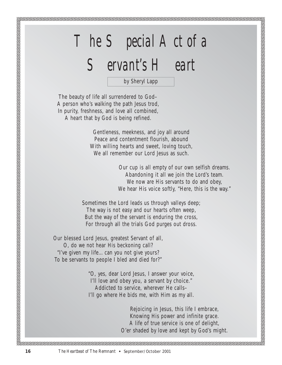# *The Special Act of a*

# *Servant's Heart*

by Sheryl Lapp

The beauty of life all surrendered to God– A person who's walking the path Jesus trod, In purity, freshness, and love all combined, A heart that by God is being refined.

> Gentleness, meekness, and joy all around Peace and contentment flourish, abound With willing hearts and sweet, loving touch, We all remember our Lord Jesus as such.

> > Our cup is all empty of our own selfish dreams. Abandoning it all we join the Lord's team. We now are His servants to do and obey, We hear His voice softly, "Here, this is the way."

Sometimes the Lord leads us through valleys deep; The way is not easy and our hearts often weep, But the way of the servant is enduring the cross, For through all the trials God purges out dross.

Our blessed Lord Jesus, greatest Servant of all, O, do we not hear His beckoning call? "I've given my life…can you not give yours? To be servants to people I bled and died for?"

> "O, yes, dear Lord Jesus, I answer your voice, I'll love and obey you, a servant by choice." Addicted to service, wherever He calls– I'll go where He bids me, with Him as my all.

> > Rejoicing in Jesus, this life I embrace, Knowing His power and infinite grace. A life of true service is one of delight, O'er shaded by love and kept by God's might.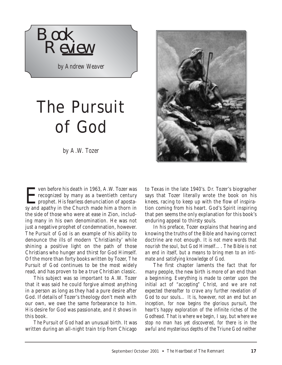

*by Andrew Weaver*

# The Pursuit of God

*by A.W. Tozer*

For ven before his death in 1963, A.W. Tozer was<br>recognized by many as a twentieth century<br>prophet. His fearless denunciation of apostarecognized by many as a twentieth century prophet. His fearless denunciation of apostasy and apathy in the Church made him a thorn in the side of those who were at ease in Zion, including many in his own denomination. He was not just a negative prophet of condemnation, however. *The Pursuit of God* is an example of his ability to denounce the ills of modern 'Christianity' while shining a positive light on the path of those Christians who hunger and thirst for God Himself. Of the more than forty books written by Tozer, *The Pursuit of God* continues to be the most widely read, and has proven to be a true Christian classic.

This subject was so important to A.W. Tozer that it was said he could forgive almost anything in a person as long as they had a pure desire after God. If details of Tozer's theology don't mesh with our own, we owe the same forbearance to him. His desire for God was passionate, and it shows in this book.

*The Pursuit of God* had an unusual birth. It was written during an all-night train trip from Chicago



to Texas in the late 1940's. Dr. Tozer's biographer says that Tozer literally wrote the book on his knees, racing to keep up with the flow of inspiration coming from his heart. God's Spirit inspiring that pen seems the only explanation for this book's enduring appeal to thirsty souls.

In his preface, Tozer explains that hearing and knowing the truths of the Bible and having correct doctrine are not enough. *It is not mere words that nourish the soul, but God Himself…. The Bible is not an end in itself, but a means to bring men to an intimate and satisfying knowledge of God.* 

The first chapter laments the fact that for many people, the new birth is more of an end than a beginning. *Everything is made to center upon the initial act of "accepting" Christ, and we are not expected thereafter to crave any further revelation of God to our souls… It is, however, not an end but an inception, for now begins the glorious pursuit, the heart's happy exploration of the infinite riches of the Godhead. That is where we begin, I say, but where we stop no man has yet discovered, for there is in the awful and mysterious depths of the Triune God neither*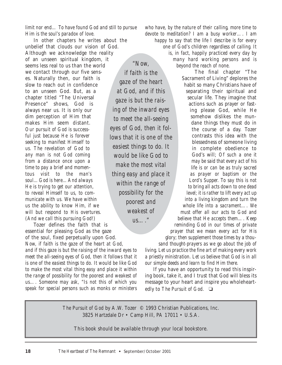#### *limit nor end… To have found God and still to pursue Him is the soul's paradox of love.*

In other chapters he writes about the unbelief that clouds our vision of God. Although we acknowledge the reality of an unseen spiritual kingdom, it seems less real to us than the world we contact through our five senses. Naturally then, our faith is slow to reach out in confidence to an unseen God. But, as a chapter titled "The Universal Presence" shows, God is always near us. It is only our dim perception of Him that makes Him seem distant. *Our pursuit of God is successful just because He is forever seeking to manifest Himself to us. The revelation of God to any man is not God coming from a distance once upon a time to pay a brief and momentous visit to the man's soul…God is here…And always He is trying to get our attention, to reveal Himself to us, to communicate with us. We have within us the ability to know Him, if we will but respond to His overtures. (And we call this pursuing God!)*

Tozer defines the faith that is essential for pleasing God as the gaze

of the soul, fixed perpetually upon God. *Now, if faith is the gaze of the heart at God, and if this gaze is but the raising of the inward eyes to meet the all-seeing eyes of God, then it follows that it is one of the easiest things to do. It would be like God to make the most vital thing easy and place it within the range of possibility for the poorest and weakest of us…. Someone may ask, "Is not this of which you speak for special persons such as monks or ministers*

*"Now, if faith is the gaze of the heart at God, and if this gaze is but the raising of the inward eyes to meet the all-seeing eyes of God, then it follows that it is one of the easiest things to do. It would be like God to make the most vital thing easy and place it within the range of possibility for the poorest and weakest of*

*us…."*

*who have, by the nature of their calling, more time to devote to meditation? I am a busy worker…. I am happy to say that the life I describe is for every one of God's children regardless of calling. It is, in fact, happily practiced every day by many hard working persons and is beyond the reach of none.*

> The final chapter "The Sacrament of Living" deplores the habit so many Christians have of separating their spiritual and secular life. They imagine that actions such as prayer or fasting please God, while He somehow dislikes the mundane things they must do in the course of a day. Tozer contrasts this idea with the blessedness of someone living in complete obedience to God's will; *Of such a one it may be said that every act of his life is or can be as truly sacred as prayer or baptism or the Lord's Supper. To say this is not to bring all acts down to one dead level; it is rather to lift every act up into a living kingdom and turn the whole life into a sacrament…. We must offer all our acts to God and believe that He accepts them…. Keep reminding God in our times of private prayer that we mean every act for His*

*glory; then supplement those times by a thousand thought-prayers as we go about the job of living. Let us practice the fine art of making every work a priestly ministration. Let us believe that God is in all our simple deeds and learn to find Him there.* 

If you have an opportunity to read this inspiring book, take it, and I trust that God will bless its message to your heart and inspire you wholeheartedly to *The Pursuit of God.* ❏

*The Pursuit of God* by A.W. Tozer © 1993 Christian Publications, Inc. 3825 Hartzdale Dr • Camp Hill, PA 17011 • U.S.A.

This book should be available through your local bookstore.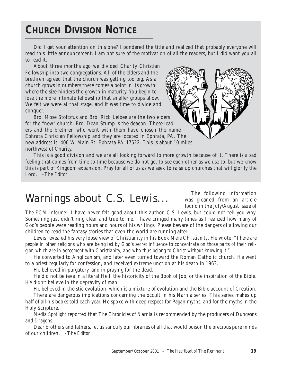# **CHURCH DIVISION NOTICE**

Did I get your attention on this one? I pondered the title and realized that probably everyone will read this little announcement. I am not sure of the motivation of all the readers, but I did want you all to read it.

About three months ago we divided Charity Christian Fellowship into two congregations. All of the elders and the brethren agreed that the church was getting too big. As a church grows in numbers there comes a point in its growth where the size hinders the growth in maturity. You begin to lose the more intimate fellowship that smaller groups allow. We felt we were at that stage, and it was time to divide and conquer.

Bro. Mose Stoltzfus and Bro. Rick Leibee are the two elders for the "new" church. Bro. Dean Stump is the deacon. These leaders and the brethren who went with them have chosen the name Ephrata Christian Fellowship and they are located in Ephrata, PA. The new address is: 400 W Main St, Ephrata PA 17522. This is about 10 miles northwest of Charity.

This is a good division and we are all looking forward to more growth because of it. There is a sad feeling that comes from time to time because we do not get to see each other as we use to, but we know this is part of Kingdom expansion. Pray for all of us as we seek to raise up churches that will glorify the Lord. *–The Editor*

# *Warnings about C.S. Lewis...*

The following information was gleaned from an article found in the July/August issue of

*The FCM Informer*. I have never felt good about this author, C.S. Lewis, but could not tell you why. Something just didn't ring clear and true to me. I have cringed many times as I realized how many of God's people were reading hours and hours of his writings. Please beware of the dangers of allowing our children to read the fantasy stories that even the world are running after.

Lewis revealed his very loose view of Christianity in his Book *Mere Christianity*. He wrote, *"There are people in other religions who are being led by God's secret influence to concentrate on those parts of their religion which are in agreement with Christianity, and who thus belong to Christ without knowing it."*

He converted to Anglicanism, and later even turned toward the Roman Catholic church. He went to a priest regularly for confession, and received extreme unction at his death in 1963.

He believed in purgatory, and in praying for the dead.

He did not believe in a literal Hell, the historicity of the Book of Job, or the inspiration of the Bible. He didn't believe in the depravity of man.

He believed in theistic evolution, which is a mixture of evolution and the Bible account of Creation.

There are dangerous implications concerning the occult in his Narnia series. This series makes up half of all his books sold each year. He spoke with deep respect for Pagan myths, and for the myths in the Holy Scripture.

*Media Spotlight* reported that *The Chronicles of Narnia* is recommended by the producers of *Dungeons and Dragons*.

Dear brothers and fathers, let us sanctify our libraries of all that would poison the precious pure minds of our children. *–The Editor*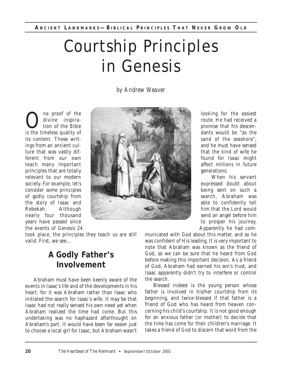# Courtship Principles in Genesis

*by Andrew Weaver*

ne proof of the divine inspiration of the Bible is the timeless quality of its content. These writings from an ancient culture that was vastly different from our own teach many important principles that are totally relevant to our modern society. For example, let's consider some principles of godly courtship from the story of Isaac and Rebekah. Although nearly four thousand years have passed since the events of Genesis 24



took place, the principles they teach us are still valid. First, we see...

## **A Godly Father's Involvement**

Abraham must have been keenly aware of the events in Isaac's life and of the developments in his heart, for it was Abraham rather than Isaac who initiated the search for Isaac's wife. It may be that Isaac had not really sensed his own need yet when Abraham realized the time had come. But this undertaking was no haphazard afterthought on Abraham's part. It would have been far easier just to choose a local girl for Isaac, but Abraham wasn't

looking for the easiest route. He had received a promise that his descendants would be "as the sand of the seashore", and he must have sensed that the kind of wife he found for Isaac might affect millions in future generations.

When his servant expressed doubt about being sent on such a search, Abraham was able to confidently tell him that the Lord would send an angel before him to prosper his journey. Apparently he had com-

municated with God about this matter, and so he was confident of His leading. It is very important to note that Abraham was known as the friend of God, so we can be sure that he heard from God before making this important decision. As a friend of God, Abraham had earned his son's trust, and Isaac apparently didn't try to interfere or control the search.

Blessed indeed is the young person whose father is involved in his/her courtship from its beginning, and twice-blessed if that father is a friend of God who has heard from heaven concerning his child's courtship. It is not good enough for an anxious father (or mother) to decide that the time has come for their children's marriage. It takes a friend of God to discern that word from the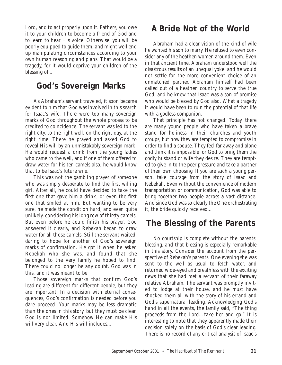Lord, and to act properly upon it. Fathers, you owe it to your children to become a friend of God and to learn to hear His voice. Otherwise, you will be poorly equipped to guide them, and might well end up manipulating circumstances according to your own human reasoning and plans. That would be a tragedy, for it would deprive your children of the blessing of...

## **God's Sovereign Marks**

As Abraham's servant traveled, it soon became evident to him that God was involved in this search for Isaac's wife. There were too many sovereign marks of God throughout the whole process to be credited to coincidence. The servant was led to the right city, to the right well, on the right day, at the right time. There he prayed and asked God to reveal His will by an unmistakably sovereign mark. He would request a drink from the young ladies who came to the well, and if one of them offered to draw water for his ten camels also, he would know that to be Isaac's future wife.

This was not the gambling prayer of someone who was simply desperate to find the first willing girl. After all, he could have decided to take the first one that gave him a drink, or even the first one that smiled at him. But wanting to be very sure, he made the condition hard, and even quite unlikely, considering his long row of thirsty camels. But even before he could finish his prayer, God answered it clearly, and Rebekah began to draw water for all those camels. Still the servant waited, daring to hope for another of God's sovereign marks of confirmation. He got it when he asked Rebekah who she was, and found that she belonged to the very family he hoped to find. There could no longer be any doubt. God was in this, and it was meant to be.

Those sovereign marks that confirm God's leading are different for different people, but they are important. In a decision with eternal consequences, God's confirmation is needed before you dare proceed. Your marks may be less dramatic than the ones in this story, but they must be clear. God is not limited. Somehow He can make His will very clear. And His will includes...

## **A Bride Not of the World**

Abraham had a clear vision of the kind of wife he wanted his son to marry. He refused to even consider any of the heathen women around them. Even in that ancient time, Abraham understood well the disastrous results of an unequal yoke, and he would not settle for the more convenient choice of an unmatched partner. Abraham himself had been called out of a heathen country to serve the true God, and he knew that Isaac was a son of promise who would be blessed by God also. What a tragedy it would have been to ruin the potential of that life with a godless companion.

That principle has not changed. Today, there are many young people who have taken a brave stand for holiness in their churches and youth groups, but now they are tempted to compromise in order to find a spouse. They feel far away and alone and think it is impossible for God to bring them the godly husband or wife they desire. They are tempted to give in to the peer pressure and take a partner of their own choosing. If you are such a young person, take courage from the story of Isaac and Rebekah. Even without the convenience of modern transportation or communication, God was able to bring together two people across a vast distance. And since God was so clearly the One orchestrating it, the bride quickly received...

## **The Blessing of the Parents**

No courtship is complete without the parents' blessing, and that blessing is especially remarkable in this story. Consider the account from the perspective of Rebekah's parents. One evening she was sent to the well as usual to fetch water, and returned wide-eyed and breathless with the exciting news that she had met a servant of their faraway relative Abraham. The servant was promptly invited to lodge at their house, and he must have shocked them all with the story of his errand and God's supernatural leading. Acknowledging God's hand in all the events, the family said, "The thing proceeds from the Lord…take her and go." It is interesting to note that they apparently made their decision solely on the basis of God's clear leading. There is no record of any critical analysis of Isaac's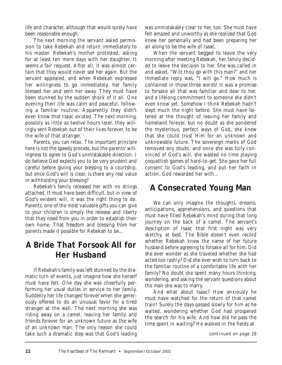life and character, although that would surely have been reasonable enough.

The next morning the servant asked permission to take Rebekah and return immediately to his master. Rebekah's mother protested, asking for at least ten more days with her daughter. It seems a fair request. After all, it was almost certain that they would never see her again. But the servant appealed, and when Rebekah expressed her willingness to go immediately, her family blessed her and sent her away. They must have been stunned by the sudden shock of it all. One evening their life was calm and peaceful, following a familiar routine. Apparently they didn't even know that Isaac existed. The next morning, possibly as little as twelve hours later, they willingly sent Rebekah out of their lives forever, to be the wife of that stranger.

Parents, you can relax. The important principle here is not the speedy process, but the parents' willingness to agree to God's unmistakable direction. I do believe God expects you to be very prudent and careful before giving your blessing to a courtship, but once God's will is clear, is there any real value in withholding your blessing?

Rebekah's family released her with no strings attached. It must have been difficult, but in view of God's evident will, it was the right thing to do. Parents, one of the most valuable gifts you can give to your children is simply the release and liberty that they need from you in order to establish their own home. That freedom and blessing from her parents made it possible for Rebekah to be...

## **A Bride That Forsook All for Her Husband**

If Rebekah's family was left stunned by the dramatic turn of events, just imagine how she herself must have felt. One day she was cheerfully performing her usual duties in service to her family. Suddenly her life changed forever when she generously offered to do an unusual favor for a tired stranger at the well. The next morning she was riding away on a camel, leaving her family and friends forever for an unknown future as the wife of an unknown man. The only reason she could take such a dramatic step was that God's leading was unmistakably clear to her, too. She must have felt amazed and unworthy as she realized that God knew her personally and had been preparing her all along to be the wife of Isaac.

When the servant begged to leave the very morning after meeting Rebekah, her family decided to leave the decision to her. She was called in and asked, "Wilt thou go with this man?" and her immediate reply was, "I will go." How much is contained in those three words! It was a promise to forsake all that was familiar and dear to her, and a lifelong commitment to someone she didn't even know yet. Somehow I think Rebekah hadn't slept much the night before. She must have faltered at the thought of leaving her family and homeland forever, but no doubt as she pondered the mysterious, perfect ways of God, she knew that she could trust Him for an unknown and unknowable future. The sovereign marks of God removed any doubt, and once she was fully convinced of God's will, she wasted no time playing coquettish games of hard-to-get. She gave her full consent to God's leading, and put her faith in action. God rewarded her with...

## **A Consecrated Young Man**

We can only imagine the thoughts, dreams, anticipations, apprehensions, and questions that must have filled Rebekah's mind during that long journey on the back of a camel. The servant's description of Isaac that first night was very sketchy, at best. The Bible doesn't even record whether Rebekah knew the name of her future husband before agreeing to forsake all for him. Did she ever wonder as she traveled whether she had acted too rashly? Did she ever wish to turn back to the familiar routine of a comfortable life with her family? No doubt she spent many hours thinking, wondering, and asking the servant questions about the man she was to marry.

And what about Isaac? How anxiously he must have watched for the return of that camel train! Surely the days passed slowly for him as he waited, wondering whether God had prospered the search for his wife. And how did he pass the time spent in waiting? He walked in the fields at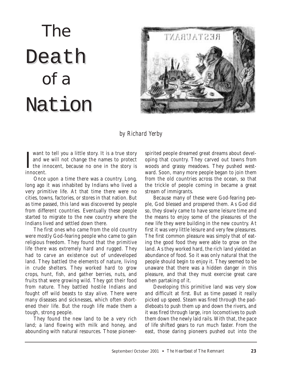# The Death of a Nation



#### *by Richard Yerby*

I want to tell you a little story. It is a true story<br>and we will not change the names to protect<br>the innocent, because no one in the story is<br>innocent want to tell you a little story. It is a true story and we will not change the names to protect innocent.

Once upon a time there was a country. Long, long ago it was inhabited by Indians who lived a very primitive life. At that time there were no cities, towns, factories, or stores in that nation. But as time passed, this land was discovered by people from different countries. Eventually these people started to migrate to the new country where the Indians lived and settled down there.

The first ones who came from the old country were mostly God-fearing people who came to gain religious freedom. They found that the primitive life there was extremely hard and rugged. They had to carve an existence out of undeveloped land. They battled the elements of nature, living in crude shelters. They worked hard to grow crops, hunt, fish, and gather berries, nuts, and fruits that were growing wild. They got their food from nature. They battled hostile Indians and fought off wild beasts to stay alive. There were many diseases and sicknesses, which often shortened their life. But the rough life made them a tough, strong people.

They found the new land to be a very rich land; a land flowing with milk and honey, and abounding with natural resources. Those pioneerspirited people dreamed great dreams about developing that country. They carved out towns from woods and grassy meadows. They pushed westward. Soon, many more people began to join them from the old countries across the ocean, so that the trickle of people coming in became a great stream of immigrants.

Because many of these were God-fearing people, God blessed and prospered them. As God did so, they slowly came to have some leisure time and the means to enjoy some of the pleasures of the new life they were building in the new country. At first it was very little leisure and very few pleasures. The first common pleasure was simply that of eating the good food they were able to grow on the land. As they worked hard, the rich land yielded an abundance of food. So it was only natural that the people should begin to enjoy it. They seemed to be unaware that there was a hidden danger in this pleasure, and that they must exercise great care when partaking of it.

Developing this primitive land was very slow and difficult at first. But as time passed it really picked up speed. Steam was fired through the paddleboats to push them up and down the rivers, and it was fired through large, iron locomotives to push them down the newly laid rails. With that, the pace of life shifted gears to run much faster. From the east, those daring pioneers pushed out into the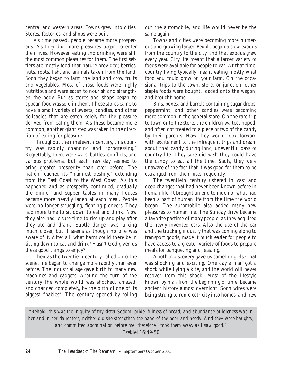central and western areas. Towns grew into cities. Stores, factories, and shops were built.

As time passed, people became more prosperous. As they did, more pleasures began to enter their lives. However, eating and drinking were still the most common pleasures for them. The first settlers ate mostly food that nature provided; berries, nuts, roots, fish, and animals taken from the land. Soon they began to farm the land and grow fruits and vegetables. Most of those foods were highly nutritious and were eaten to nourish and strengthen the body. But as stores and shops began to appear, food was sold in them. These stores came to have a small variety of sweets, candies, and other delicacies that are eaten solely for the pleasure derived from eating them. As these became more common, another giant step was taken in the direction of eating for pleasure.

Throughout the nineteenth century, this country was rapidly changing and "progressing." Regrettably, there were wars, battles, conflicts, and various problems. But each new day seemed to bring greater prosperity than ever before. The nation reached its "manifest destiny," extending from the East Coast to the West Coast. As this happened and as prosperity continued, gradually the dinner and supper tables in many houses became more heavily laden at each meal. People were no longer struggling, fighting pioneers. They had more time to sit down to eat and drink. Now they also had leisure time to rise up and play after they ate and drank. Subtle danger was lurking much closer, but it seems as though no one was aware of it. After all, what harm could there be in sitting down to eat and drink? Hasn't God given us these good things to enjoy?

Then as the twentieth century rolled onto the scene, life began to change more rapidly than ever before. The industrial age gave birth to many new machines and gadgets. Around the turn of the century the whole world was shocked, amazed, and changed completely, by the birth of one of its biggest "babies". The century opened by rolling out the automobile, and life would never be the same again.

Towns and cities were becoming more numerous and growing larger. People began a slow exodus from the country to the city, and that exodus grew every year. City life meant that a larger variety of foods were available for people to eat. At that time, country living typically meant eating mostly what food you could grow on your farm. On the occasional trips to the town, store, or junction, other staple foods were bought, loaded onto the wagon, and brought home.

Bins, boxes, and barrels containing sugar drops, peppermint, and other candies were becoming more common in the general store. On the rare trip to town or to the store, the children waited, hoped, and often got treated to a piece or two of the candy by their parents. How they would look forward with excitement to the infrequent trips and dream about that candy during long, uneventful days of country life. They sure did wish they could have the candy to eat all the time. Sadly, they were unaware of the fact that it was good for them to be estranged from their lusts frequently.

The twentieth century ushered in vast and deep changes that had never been known before in human life. It brought an end to much of what had been a part of human life from the time the world began. The automobile also added many new pleasures to human life. The Sunday drive became a favorite pastime of many people, as they acquired the newly invented cars. Also the use of the car and the trucking industry that was coming along to transport goods, made it much easier for people to have access to a greater variety of foods to prepare meals for banqueting and feasting.

Another discovery gave us something else that was shocking and exciting. One day a man got a shock while flying a kite, and the world will never recover from this shock. Most of the lifestyle known by man from the beginning of time, became ancient history almost overnight. Soon wires were being strung to run electricity into homes, and new

*"Behold, this was the iniquity of thy sister Sodom; pride, fulness of bread, and abundance of idleness was in her and in her daughters, neither did she strengthen the hand of the poor and needy. And they were haughty, and committed abomination before me: therefore I took them away as I saw good."*

Ezekiel 16:49-50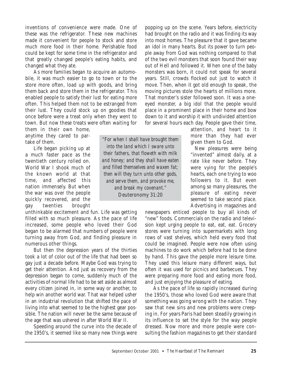inventions of convenience were made. One of these was the refrigerator. These new machines made it convenient for people to stock and store much more food in their home. Perishable food could be kept for some time in the refrigerator and that greatly changed people's eating habits, and changed what they ate.

As more families began to acquire an automobile, it was much easier to go to town or to the store more often, load up with goods, and bring them back and store them in the refrigerator. This enabled people to satisfy their lust for eating more often. This helped them not to be estranged from their lust. They could stock up on goodies that once before were a treat only when they went to town. But now these treats were often waiting for

them in their own home, anytime they cared to partake of them.

Life began picking up at a much faster pace as the twentieth century rolled on. World War I shook much of the known world at that time, and affected this nation immensely. But when the war was over the people quickly recovered, and the gay twenties brought

unthinkable excitement and fun. Life was getting filled with so much pleasure. As the pace of life increased, some people who loved their God began to be alarmed that numbers of people were turning away from God, and finding pleasure in numerous other things.

But then the depression years of the thirties took a lot of color out of the life that had been so gay just a decade before. Maybe God was trying to get their attention. And just as recovery from the depression began to come, suddenly much of the activities of normal life had to be set aside as almost every citizen joined in, in some way or another, to help win another world war. That war helped usher in an industrial revolution that shifted the pace of living into what seemed to be the highest gear possible. The nation will never be the same because of the age that was ushered in after World War II.

Speeding around the curve into the decade of the 1950's, it seemed like so many new things were

*"For when I shall have brought them into the land which I sware unto their fathers, that floweth with milk and honey; and they shall have eaten and filled themselves and waxen fat; then will they turn unto other gods, and serve them, and provoke me, and break my covenant."* Deuteronomy 31:20

popping up on the scene. Years before, electricity had brought on the radio and it was finding its way into most homes. The pleasure that it gave became an idol in many hearts. But its power to turn people away from God was nothing compared to that of the two evil monsters that soon found their way out of Hell and followed it. When one of the baby monsters was born, it could not speak for several years. Still, crowds flocked out just to watch it move. Then, when it got old enough to speak, the moving pictures stole the hearts of millions more. That monster's sister followed soon. It was a oneeyed monster, a big idol that the people would place in a prominent place in their home and bow down to it and worship it with undivided attention for several hours each day. People gave their time,

attention, and heart to it more than they had ever given them to God.

New pleasures were being "invented" almost daily, at a rate like never before. They were vying for the people's hearts, each one trying to woo followers to it. But even among so many pleasures, the pleasure of eating never seemed to take second place. Advertising in magazines and

newspapers enticed people to buy all kinds of "new" foods. Commercials on the radio and television kept urging people to eat, eat, eat. Grocery stores were turning into supermarkets with long rows of vast shelves, which held every food that could be imagined. People were now often using machines to do work which before had to be done by hand. This gave the people more leisure time. They used this leisure many different ways, but often it was used for picnics and barbecues. They were preparing more food and eating more food, and just enjoying the pleasure of eating.

As the pace of life so rapidly increased during the 1950's, those who loved God were aware that something was going wrong with the nation. They saw that new sins and new problems were creeping in. For years Paris had been steadily growing in its influence to set the style for the way people dressed. Now more and more people were consulting the fashion magazines to get their standard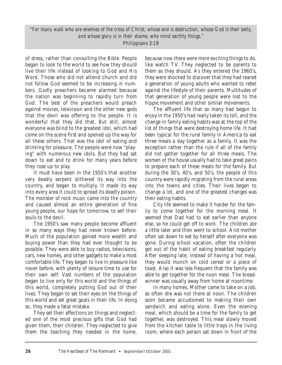*"For many walk who are enemies of the cross of Christ; whose end is destruction, whose God is their belly, and whose glory is in their shame, who mind earthly things."* Philippians 3:19

of dress, rather than consulting the Bible. People began to look to the world to see how they should live their life instead of looking to God and His Word. Those who did not attend church and did not follow God seemed to be increasing in numbers. Godly preachers became alarmed because the nation was beginning to rapidly turn from God. The best of the preachers would preach against movies, television and the other new gods that the devil was offering to the people. It is wonderful that they did that. But still, almost everyone was blind to the greatest idol, which had come on the scene first and opened up the way for all these others. That was the idol of eating and drinking for pleasure. The people were now "playing" with numerous new idols. But they had sat down to eat and to drink for many years before they rose up to play.

It must have been in the 1950's that another very deadly serpent slithered its way into the country, and began to multiply. It made its way into every area it could to spread its deadly poison. The monster of rock music came into the country and caused almost an entire generation of fine young people, our hope for tomorrow, to sell their souls to the devil.

The 1950's saw many people become affluent in so many ways they had never known before. Much of the population gained more wealth and buying power than they had ever thought to be possible. They were able to buy radios, televisions, cars, new homes, and other gadgets to make a most comfortable life. They began to live in pleasure like never before, with plenty of leisure time to use for their own self. Vast numbers of the population began to live only for this world and the things of this world, completely putting God out of their lives. They began to set their eyes on the things of this world and set great goals in their life. In doing so, they made a fatal mistake.

They set their affections on things and neglected one of the most precious gifts that God had given them, their children. They neglected to give them the teaching they needed in the home, because now there were more exciting things to do, like watch TV. They neglected to be parents to them as they should. As they entered the 1960's, they were shocked to discover that they had reared a generation of young adults who wanted to rebel against the lifestyle of their parents. Multitudes of that generation of young people were lost to the hippie movement and other similar movements.

The affluent life that so many had begun to enjoy in the 1950's had really taken its toll, and the change in family eating habits was at the top of the list of things that were destroying home life. It had been typical for the rural family in America to eat three meals a day together as a family. It was the exception rather than the rule if all of the family did not gather together for all three meals. The women of the house usually had to take great pains to prepare each of these meals for the family. But during the 30's, 40's, and 50's, the people of this country were rapidly migrating from the rural areas into the towns and cities. Their lives began to change a lot, and one of the greatest changes was their eating habits.

City life seemed to make it harder for the family to come together for the morning meal. It seemed that Dad had to eat earlier than anyone else, so he could get off to work. The children ate a little later and then went to school. And mother often sat down to eat by herself after everyone was gone. During school vacation, often the children got out of the habit of eating breakfast regularly. After sleeping late, instead of having a hot meal, they would munch on cold cereal or a piece of toast. Also it was less frequent that the family was able to get together for the noon meal. The breadwinner was usually away from home at noontime.

In many homes, Mother came to take on a job, so often she was not there at noon. The children soon became accustomed to making their own sandwich and eating alone. Even the evening meal, which should be a time for the family to get together, was destroyed. This meal slowly moved from the kitchen table to little trays in the living room, where each person sat down in front of the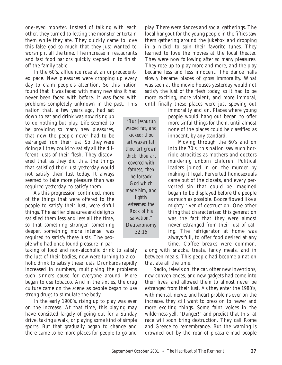one-eyed monster. Instead of talking with each other, they turned to letting the monster entertain them while they ate. They quickly came to love this false god so much that they just wanted to worship it all the time. The increase in restaurants and fast food parlors quickly stepped in to finish off the family table.

In the 60's, affluence rose at an unprecedented pace. New pleasures were cropping up every day to claim people's attention. So this nation found that it was faced with many new sins it had never been faced with before. It was faced with problems completely unknown in the past. This

nation that, a few years ago, had sat down to eat and drink was now rising up to do nothing but play. Life seemed to be providing so many new pleasures, that now the people never had to be estranged from their lust. So they were doing all they could to satisfy all the different lusts of their flesh. They discovered that as they did this, the things that satisfied their lust yesterday would not satisfy their lust today. It always seemed to take more pleasure than was required yesterday, to satisfy them.

As this progression continued, more of the things that were offered to the people to satisfy their lust, were sinful things. The earlier pleasures and delights satisfied them less and less all the time, so that something stronger, something deeper, something more intense, was required to satisfy these lusts. The people who had once found pleasure in par-

taking of food and non-alcoholic drink to satisfy the lust of their bodies, now were turning to alcoholic drink to satisfy these lusts. Drunkards rapidly increased in numbers, multiplying the problems such sinners cause for everyone around. More began to use tobacco. And in the sixties, the drug culture came on the scene as people began to use strong drugs to stimulate the body.

In the early 1900's, rising up to play was ever on the increase. At that time, this playing may have consisted largely of going out for a Sunday drive, taking a walk, or playing some kind of simple sports. But that gradually began to change and there came to be more places for people to go and

play. There were dances and social gatherings. The local hangout for the young people in the fifties saw them gathering around the jukebox and dropping in a nickel to spin their favorite tunes. They learned to love the movies at the local theater. They were now following after so many pleasures. They rose up to play more and more, and the play became less and less innocent. The dance halls slowly became places of gross immorality. What was seen at the movie houses yesterday would not satisfy the lust of the flesh today, so it had to be more exciting, more violent, and more immoral, until finally these places were just spewing out

> immorality and sin. Places where young people would hang out began to offer more sinful things for them, until almost none of the places could be classified as innocent, by any standard.

> Moving through the 60's and on into the 70's, this nation saw such horrible atrocities as mothers and doctors murdering unborn children. Political leaders joined in on the murder by making it legal. Perverted homosexuals came out of the closets, and every perverted sin that could be imagined began to be displayed before the people as much as possible. Booze flowed like a mighty river of destruction. One other thing that characterized this generation was the fact that they were almost never estranged from their lust of eating. The refrigerator at home was always full, to offer food desired at any

time. Coffee breaks were common, along with snacks, treats, fancy meals, and in between meals. This people had become a nation that ate all the time.

Radio, television, the car, other new inventions, new conveniences, and new gadgets had come into their lives, and allowed them to almost never be estranged from their lust. As they enter the 1980's, with mental, nerve, and heart problems ever on the increase, they still want to press on to newer and more exciting things. Some faint voices in the wilderness yell, "Danger!" and predict that this rat race will soon bring destruction. They call Rome and Greece to remembrance. But the warning is drowned out by the roar of pleasure-mad people

*"But Jeshurun waxed fat, and kicked: thou art waxen fat, thou art grown thick, thou art covered with fatness; then he forsook God which made him, and lightly esteemed the Rock of his salvation."* Deuteronomy 32:15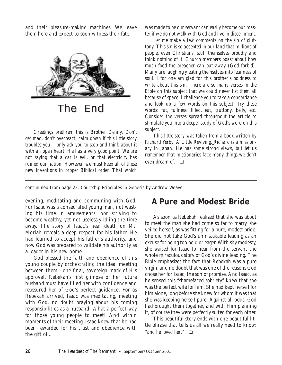and their pleasure-making machines. We leave them here and expect to soon witness their fate.



The End

*Greetings brethren, this is Brother Denny. Don't get mad, don't overreact, calm down if this little story troubles you. I only ask you to stop and think about it with an open heart. He has a very good point. We are not saying that a car is evil, or that electricity has ruined our nation. However, we must keep all of these new inventions in proper Biblical order. That which* *was made to be our servant can easily become our master if we do not walk with God and live in discernment.* 

*Let me make a few comments on the sin of gluttony. This sin is so accepted in our land that millions of people, even Christians, stuff themselves proudly and think nothing of it. Church members boast about how much food the preacher can put away (God forbid). Many are laughingly eating themselves into leanness of soul. I for one am glad for this brother's boldness to write about this sin. There are so many verses in the Bible on this subject that we could never list them all because of space. I challenge you to take a concordance and look up a few words on this subject. Try these words: fat, fullness, filled, eat, gluttony, belly, etc. Consider the verses spread throughout the article to stimulate you into a deeper study of God's word on this subject.*

*This little story was taken from a book written by Richard Yerby, A Little Reviving. Richard is a missionary in Japan. He has some strong views, but let us remember that missionaries face many things we don't even dream of.* ❏

*continuned from page 22,* Courtship Principles in Genesis *by Andrew Weaver*

evening, meditating and communing with God. For Isaac was a consecrated young man, not wasting his time in amusements, nor striving to become wealthy, yet not uselessly idling the time away. The story of Isaac's near death on Mt. Moriah reveals a deep respect for his father. He had learned to accept his father's authority, and now God was prepared to validate his authority as a leader in his new home.

God blessed the faith and obedience of this young couple by orchestrating the ideal meeting between them—one final, sovereign mark of His approval. Rebekah's first glimpse of her future husband must have filled her with confidence and reassured her of God's perfect guidance. For as Rebekah arrived, Isaac was meditating, meeting with God, no doubt praying about his coming responsibilities as a husband. What a perfect way for those young people to meet! And within moments of their meeting, Isaac knew that he had been rewarded for his trust and obedience with the gift of...

### **A Pure and Modest Bride**

As soon as Rebekah realized that she was about to meet the man she had come so far to marry, she veiled herself, as was fitting for a pure, modest bride. She did not take God's unmistakable leading as an excuse for being too bold or eager. With shy modesty, she waited for Isaac to hear from the servant the whole miraculous story of God's divine leading. The Bible emphasizes the fact that Rebekah was a pure virgin, and no doubt that was one of the reasons God chose her for Isaac, the son of promise. And Isaac, as he sensed this "shamefaced sobriety" knew that she was the perfect wife for him. She had kept herself for him alone, long before she knew for whom it was that she was keeping herself pure. Against all odds, God had brought them together, and with Him planning it, of course they were perfectly suited for each other.

This beautiful story ends with one beautiful little phrase that tells us all we really need to know: "*and he loved her*." ❏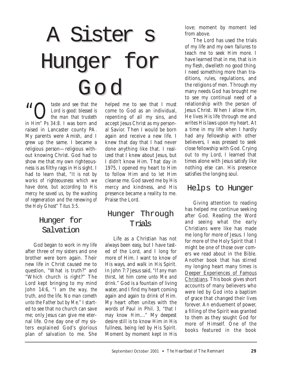# A Sister s Hunger for God

**66** Caste and see that the<br>Lord is good: blessed is<br>the man that trusteth<br>in Um" Pe 24.9. I was been and *Lord is good: blessed is the man that trusteth in Him" Ps 34:8.* I was born and raised in Lancaster county PA. My parents were Amish, and I grew up the same. I became a religious person—religious without knowing Christ. God had to show me that my own righteousness is as filthy rags in His sight. I had to learn that, *"It is not by works of righteousness which we have done, but according to His mercy he saved us, by the washing of regeneration and the renewing of the Holy Ghost" Titus 3:5.*

## Hunger for Hunger for Salvation

God began to work in my life after three of my sisters and one brother were born again. Their new life in Christ caused me to question, "What is truth?" and "Which church is right?" The Lord kept bringing to my mind John 14:6, *"I am the way, the truth, and the life. No man cometh unto the Father but by Me."* I started to see that no church can save me; only Jesus can give me eternal life. One day one of my sisters explained God's glorious plan of salvation to me. She

helped me to see that I must come to God as an individual, repenting of all my sins, and accept Jesus Christ as my personal Savior. Then I would be born again and receive a new life. I knew that day that I had never done anything like that. I realized that I knew about Jesus, but I didn't know Him. That day in 1975, I opened my heart to Him to follow Him and to let Him cleanse me. God saved me by His mercy and kindness, and His presence became a reality to me. Praise the Lord.

## Hunger Through Trials

Life as a Christian has not always been easy, but I have tasted of the Lord, and I long for more of Him. I want to know of His ways, and walk in His Spirit. In John 7:7 Jesus said, *"If any man thirst, let him come unto Me and drink."* God is a fountain of living water, and I find my heart coming again and again to drink of Him. My heart often unites with the words of Paul in Phil. 3, *"that I may know Him...."* My deepest desire still is to know Him in His fullness, being led by His Spirit. Moment by moment kept in His

love; moment by moment led from above.

The Lord has used the trials of my life and my own failures to teach me to seek Him more. I have learned that in me, that is in my flesh, dwelleth no good thing. I need something more than traditions, rules, regulations, and the religions of men. Through my many needs God has brought me to see my continual need of a relationship with the person of Jesus Christ. When I allow Him, He lives His life through me and writes His laws upon my heart. At a time in my life when I hardly had any fellowship with other believers, I was pressed to seek close fellowship with God. Crying out to my Lord, I learned that times alone with Jesus satisfy like nothing else can. His presence satisfies the longing soul.

### Helps to Hunger

Giving attention to reading has helped me continue seeking after God. Reading the Word and seeing what the early Christians were like has made me long for more of Jesus. I long for more of the Holy Spirit that I might be one of those over comers we read about in the Bible. Another book that has stirred my longing heart many times is Deeper Experiences of Famous Christians. This book gives short accounts of many believers who were led by God into a baptism of grace that changed their lives forever. An enduement of power, a filling of the Spirit was granted to them as they sought God for more of Himself. One of the books featured in the book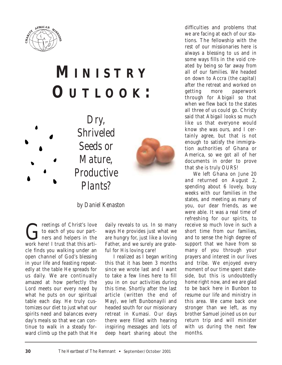

# **M INISTRY O UTLOOK :**





*by Daniel Kenaston*

**Greetings of Christ's love**<br>to each of you our part-<br>mest heard I trust that this extito each of you our partners and helpers in the work here! I trust that this article finds you walking under an open channel of God's blessing in your life and feasting repeatedly at the table He spreads for us daily. We are continually amazed at how perfectly the Lord meets our every need by what he puts on our spiritual table each day. He truly customizes our diet to just what our spirits need and balances every day's meals so that we can continue to walk in a steady forward climb up the path that He

daily reveals to us. In so many ways He provides just what we are hungry for, just like a loving Father, and we surely are grateful for His loving care!

I realized as I began writing this that it has been 3 months since we wrote last and I want to take a few lines here to fill you in on our activities during this time. Shortly after the last article (written the end of May), we left Bunbonayili and headed south for our missionary retreat in Kumasi. Our days there were filled with hearing inspiring messages and lots of deep heart sharing about the

difficulties and problems that we are facing at each of our stations. The fellowship with the rest of our missionaries here is always a blessing to us and in some ways fills in the void created by being so far away from all of our families. We headed on down to Accra (the capital) after the retreat and worked on getting more paperwork through for Abigail so that when we flew back to the states all three of us could go. Christy said that Abigail looks so much like us that everyone would know she was ours, and I certainly agree, but that is not enough to satisfy the immigration authorities of Ghana or America, so we got all of her documents in order to prove that she is truly OURS!

We left Ghana on June 20 and returned on August 2, spending about 6 lovely, busy weeks with our families in the states, and meeting as many of you, our dear friends, as we were able. It was a real time of refreshing for our spirits, to receive so much love in such a short time from our families, and to sense the high degree of support that we have from so many of you through your prayers and interest in our lives and tribe. We enjoyed every moment of our time spent stateside, but this is undoubtedly home right now, and we are glad to be back here in Bunbon to resume our life and ministry in this area. We came back one stronger than we left, as my brother Samuel joined us on our return trip and will minister with us during the next few months.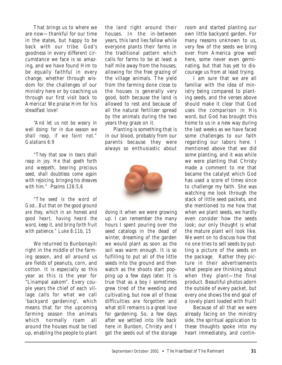That brings us to where we are now—thankful for our time in the states, but happy to be back with our tribe. God's goodness in every different circumstance we face is so amazing, and we have found Him to be equally faithful in every change, whether through wisdom for the challenges of our ministry here or by coaching us through our first visit back to America! We praise Him for his steadfast love!

*"And let us not be weary in well doing: for in due season we shall reap, if we faint not." Galatians 6:9*

*"They that sow in tears shall reap in joy. He that goeth forth and weepeth, bearing precious seed, shall doubtless come again with rejoicing, bringing his sheaves with him." Psalms 126:5,6*

*"The seed is the word of God...But that on the good ground are they, which in an honest and good heart, having heard the word, keep it, and bring forth fruit with patience." Luke 8:11b, 15*

We returned to Bunbonayili right in the middle of the farming season, and all around us are fields of peanuts, corn, and cotton. It is especially so this year as this is the year for "Linampal aakom". Every couple years the chief of each village calls for what we call 'backyard gardening', which means that for the upcoming farming season the animals which normally roam all around the houses must be tied up, enabling the people to plant the land right around their houses. In the in-between years, this land lies fallow while everyone plants their farms in the traditional pattern which calls for farms to be at least a half mile away from the houses, allowing for the free grazing of the village animals. The yield from the farming done close to the houses is generally very good, both because the land is allowed to rest and because of all the natural fertilizer spread by the animals during the two years they graze on it.

Planting is something that is in our blood, probably from our parents because they were always so enthusiastic about



doing it when we were growing up. I can remember the many hours I spent pouring over the seed catalogs in the dead of winter, dreaming of the garden we would plant as soon as the soil was warm enough. It is so fulfilling to put all of the little seeds into the ground and then watch as the shoots start popping up a few days later. It is true that as a boy I sometimes grew tired of the weeding and cultivating, but now all of those difficulties are forgotten and what still remains is a great love for gardening. So, a few days after we settled into life back here in Bunbon, Christy and I got the seeds out of the storage room and started planting our own little backyard garden. For many reasons unknown to us, very few of the seeds we bring over from America grow well here, some never even germinating, but that has yet to discourage us from at least trying.

I am sure that we are all familiar with the idea of ministry being compared to planting seeds, and the verses above should make it clear that God uses the comparison in His word, but God has brought this home to us in a new way during the last weeks as we have faced some challenges to our faith regarding our labors here. I mentioned above that we did some planting, and it was while we were planting that Christy made a comment to me that became the catalyst which God has used a score of times since to challenge my faith. She was watching me look through the stack of little seed packets, and she mentioned to me how that when we plant seeds, we hardly even consider how the seeds look; our only thought is what the mature plant will look like. We went on to discuss how that no one tries to sell seeds by putting a picture of the seeds on the package. Rather they picture in their advertisements what people are thinking about when they plant—the final product. Beautiful photos adorn the outside of every packet, but every one shows the end goal of a lovely plant loaded with fruit!

Because of all that we were already facing on the ministry side, the spiritual application to these thoughts spoke into my heart immediately, and contin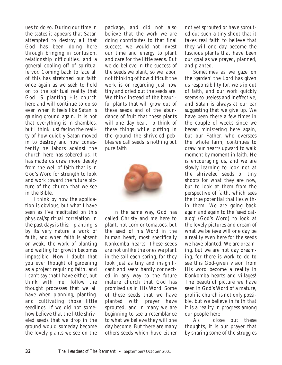ues to do so. During our time in the states it appears that Satan attempted to destroy all that God has been doing here through bringing in confusion, relationship difficulties, and a general cooling off of spiritual fervor. Coming back to face all of this has stretched our faith once again as we seek to hold on to the spiritual reality that God IS planting His church here and will continue to do so even when it feels like Satan is gaining ground again. It is not that everything is in shambles, but I think just facing the reality of how quickly Satan moved in to destroy and how consistently he labors against the church here has sobered us. It has made us draw more deeply from the well of faith that is in God's Word for strength to look and work toward the future picture of the church that we see in the Bible.

I think by now the application is obvious, but what I have seen as I've meditated on this physical/spiritual correlation in the past days is this: planting is by its very nature a work of faith, and when faith is absent or weak, the work of planting and waiting for growth becomes impossible. Now I doubt that you ever thought of gardening as a project requiring faith, and I can't say that I have either, but think with me; follow the thought processes that we all have when planning, planting, and cultivating those little seedlings. If we did not somehow believe that the little shriveled seeds that we drop in the ground would someday become the lovely plants we see on the

package, and did not also believe that the work we are doing contributes to that final success, we would not invest our time and energy to plant and care for the little seeds. But we do believe in the success of the seeds we plant, so we labor, not thinking of how difficult the work is or regarding just how tiny and dried out the seeds are. We think instead of the beautiful plants that will grow out of these seeds and of the abundance of fruit that these plants will one day bear. To think of these things while putting in the ground the shriveled pebbles we call seeds is nothing but pure faith!



In the same way, God has called Christy and me here to plant, not corn or tomatoes, but the seed of his Word in the human heart, most specifically Konkomba hearts. These seeds are not unlike the ones we plant in the soil each spring, for they look just as tiny and insignificant and seem hardly connected in any way to the future mature church that God has promised us in His Word. Some of these seeds that we have planted with prayer have sprouted, and in many we are beginning to see a resemblance to what we believe they will one day become. But there are many others seeds which have either

not yet sprouted or have sprouted out such a tiny shoot that it takes real faith to believe that they will one day become the luscious plants that have been our goal as we prayed, planned, and planted.

Sometimes as we gaze on the 'garden' the Lord has given us responsibility for, we slip out of faith, and our work quickly seems so useless and ineffective, and Satan is always at our ear suggesting that we give up. We have been there a few times in the couple of weeks since we began ministering here again, but our Father, who oversees the whole farm, continues to draw our hearts upward to walk moment by moment in faith. He is encouraging us, and we are slowly learning to look not at the shriveled seeds or tiny shoots for what they are now, but to look at them from the perspective of faith, which sees the true potential that lies within them. We are going back again and again to the 'seed catalog' (God's Word) to look at the lovely pictures and dream of what we believe will one day be a reality even here for the seeds we have planted. We are dreaming, but we are not day dreaming, for there is work to do to see this God-given vision from His word become a reality in Konkomba hearts and villages! The beautiful picture we have seen in God's Word of a mature, prolific church is not only possible, but we believe in faith that it is a reality in progress among our people here!

As I close out these thoughts, it is our prayer that by sharing some of the struggles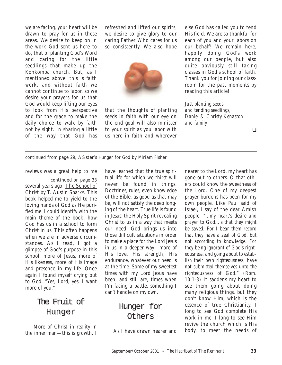we are facing, your heart will be drawn to pray for us in these areas. We desire to keep on in the work God sent us here to do, that of planting God's Word and caring for the little seedlings that make up the Konkomba church. But, as I mentioned above, this is faith work, and without faith we cannot continue to labor, so we desire your prayers for us that God would keep lifting our eyes to look from His perspective and for the grace to make the daily choice to walk by faith not by sight. In sharing a little of the way that God has refreshed and lifted our spirits, we desire to give glory to our caring Father Who cares for us so consistently. We also hope



that the thoughts of planting seeds in faith with our eye on the end goal will also minister to your spirit as you labor with us here in faith and wherever else God has called you to tend His field. We are so thankful for each of you and your labors on our behalf! We remain here, happily doing God's work among our people, but also quite obviously still taking classes in God's school of faith. Thank you for joining our classroom for the past moments by reading this article!

*Just planting seeds and tending seedlings, Daniel & Christy Kenaston and family*

❏

*continued from page 29,* A Sister's Hunger for God *by Miriam Fisher*

reviews was a great help to me

*continued on page 33* several years ago: The School of Christ by T. Austin Sparks. This book helped me to yield to the loving hands of God as He purified me. I could identify with the main theme of the book, how God has us in a school to form Christ in us. This often happens when we are in adverse circumstances. As I read, I got a glimpse of God's purpose in this school: more of Jesus, more of His likeness, more of His image and presence in my life. Once again I found myself crying out to God, "Yes, Lord, yes, I want more of you."

## The Fruit of Hunger

More of Christ in reality in the inner man—this is growth. I have learned that the true spiritual life for which we thirst will never be found in things. Doctrines, rules, even knowledge of the Bible, as good as that may be, will not satisfy the deep longing of the heart. True life is found in Jesus, the Holy Spirit revealing Christ to us in a way that meets our need. God brings us into those difficult situations in order to make a place for the Lord Jesus in us in a deeper way—more of His love, His strength, His endurance, whatever our need is at the time. Some of my sweetest times with my Lord Jesus have been, and still are, times when I'm facing a battle, something I can't handle on my own.

## Hunger for Others

As I have drawn nearer and

nearer to the Lord, my heart has gone out to others. O that others could know the sweetness of the Lord. One of my deepest prayer burdens has been for my own people. Like Paul said of Israel, I say of the dear Amish people, *"...my heart's desire and prayer to God...is that they might be saved. For I bear them record that they have a zeal of God, but not according to knowledge. For they being ignorant of God's righteousness, and going about to establish their own righteousness, have not submitted themselves unto the righteousness of God." (Rom. 10:1-3*) It saddens my heart to see them going about doing many religious things, but they don't know Him, which is the essence of true Christianity. I long to see God complete His work in me. I long to see Him revive the church which is His body, to meet the needs of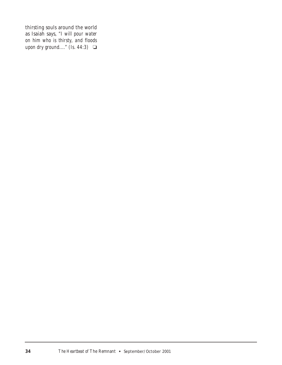thirsting souls around the world as Isaiah says, *"I will pour water on him who is thirsty, and floods upon dry ground...." (Is. 44:3)* **□**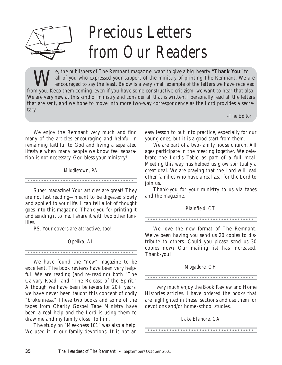

We, the publishers of The Remnant magazine, want to give a big, hearty "**Thank You**" to all of you who expressed your support of the ministry of printing The Remnant. We also encouraged to say the least. Below is a very sm

*Precious Letters*

*from Our Readers*

from you. Keep them coming, even if you have some constructive critizism, we want to hear that also.

all of you who expressed your support of the ministry of printing The Remnant. We are encouraged to say the least. Below is a very small example of the letters we have received

We enjoy the Remnant very much and find many of the articles encouraging and helpful in remaining faithful to God and living a separated lifestyle when many people we know feel separation is not necessary. God bless your ministry!

#### *Middletown, PA*

Super magazine! Your articles are great! They are not fast reading—meant to be digested slowly and applied to your life. I can tell a lot of thought goes into this magazine. Thank-you for printing it and sending it to me. I share it with two other families.

P.S. Your covers are attractive, too!

#### *Opelika, AL*

We have found the "new" magazine to be excellent. The book reviews have been very helpful. We are reading (and re-reading) both "The Calvary Road" and "The Release of the Spirit." Although we have been believers for  $20+$  years, we have never been taught this concept of godly "brokenness." These two books and some of the tapes from Charity Gospel Tape Ministry have been a real help and the Lord is using them to draw me and my family closer to him.

The study on "Meekness 101" was also a help. We used it in our family devotions. It is not an easy lesson to put into practice, especially for our young ones, but it is a good start from them.

*-The Editor*

We are part of a two-family house church. All ages participate in the meeting together. We celebrate the Lord's Table as part of a full meal. Meeting this way has helped us grow spiritually a great deal. We are praying that the Lord will lead other families who have a real zeal for the Lord to join us.

Thank-you for your ministry to us via tapes and the magazine.

#### *Plainfield, CT*

We love the new format of The Remnant. We've been having you send us 20 copies to distribute to others. Could you please send us 30 copies now? Our mailing list has increased. Thank-you!

#### *Mogaddre, OH*

I very much enjoy the Book Review and Home Histories articles. I have ordered the books that are highlighted in these sections and use them for devotions and/or home-school studies.

#### *Lake Elsinore, CA*

tary.